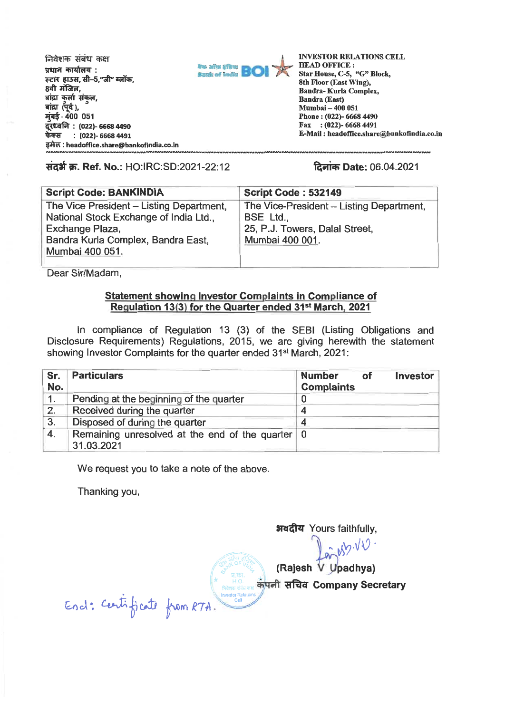निवेशक संबंध कक्ष **प्रधान कार्यालय: स्टार हाउस. सी-5."जी" ब्लॉक.** 8वी मंजिल. बांद्रा कर्ला संकल.  $\overline{a}$  aig  $\overline{a}$  ( $\overline{4}$ ). **114 - 400 051 . ce..o** fA : **(022)- 6668 4490 : (022)- 6668 4491 TAW : headoffice.share@bankofindia.co.in** 



**INVESTOR RELATIONS CELL HEAD OFFICE : Star House, C-5, "G" Block, 8th Floor (East Wing), Bandra- Kurla Complex, Bandra (East) Mumbai — 400 051 Phone : (022)- 6668 4490 Fax : (022)- 6668 4491 E-Mail : headoffice.share®bankofindia.co.in** 

**Right क. Ref. No.: HO:IRC:SD:2021-22:12 <b>families** Date: 06.04.2021

| <b>Script Code: BANKINDIA</b>                             | <b>Script Code: 532149</b>                  |
|-----------------------------------------------------------|---------------------------------------------|
| The Vice President - Listing Department,                  | The Vice-President - Listing Department,    |
| National Stock Exchange of India Ltd.,<br>Exchange Plaza, | BSE Ltd.,<br>25, P.J. Towers, Dalal Street, |
| Bandra Kurla Complex, Bandra East.                        | Mumbai 400 001.                             |
| Mumbai 400 051.                                           |                                             |

**Dear Sir/Madam,** 

## **Statement showing Investor Complaints in Compliance of Regulation 13(3) for the Quarter ended 31st March, 2021**

**In compliance of Regulation 13 (3) of the SEBI (Listing Obligations and Disclosure Requirements) Regulations, 2015, we are giving herewith the statement showing Investor Complaints for the quarter ended 31st March, 2021:** 

| Sr.<br>No. | <b>Particulars</b>                                               | <b>Investor</b><br><b>Number</b><br>οf<br><b>Complaints</b> |
|------------|------------------------------------------------------------------|-------------------------------------------------------------|
| 1.         | Pending at the beginning of the quarter                          |                                                             |
| 2.         | Received during the quarter                                      |                                                             |
| 3.         | Disposed of during the quarter                                   |                                                             |
| 4.         | Remaining unresolved at the end of the quarter   0<br>31.03.2021 |                                                             |

**We request you to** take a note of the above.

Thanking you,

अवदीय Yours faithfully,

 $arcsin\sqrt{10}$ .

**(Rajesh padhya)** 

**Fita Company Secretary** 

End: Centificate from RTA.